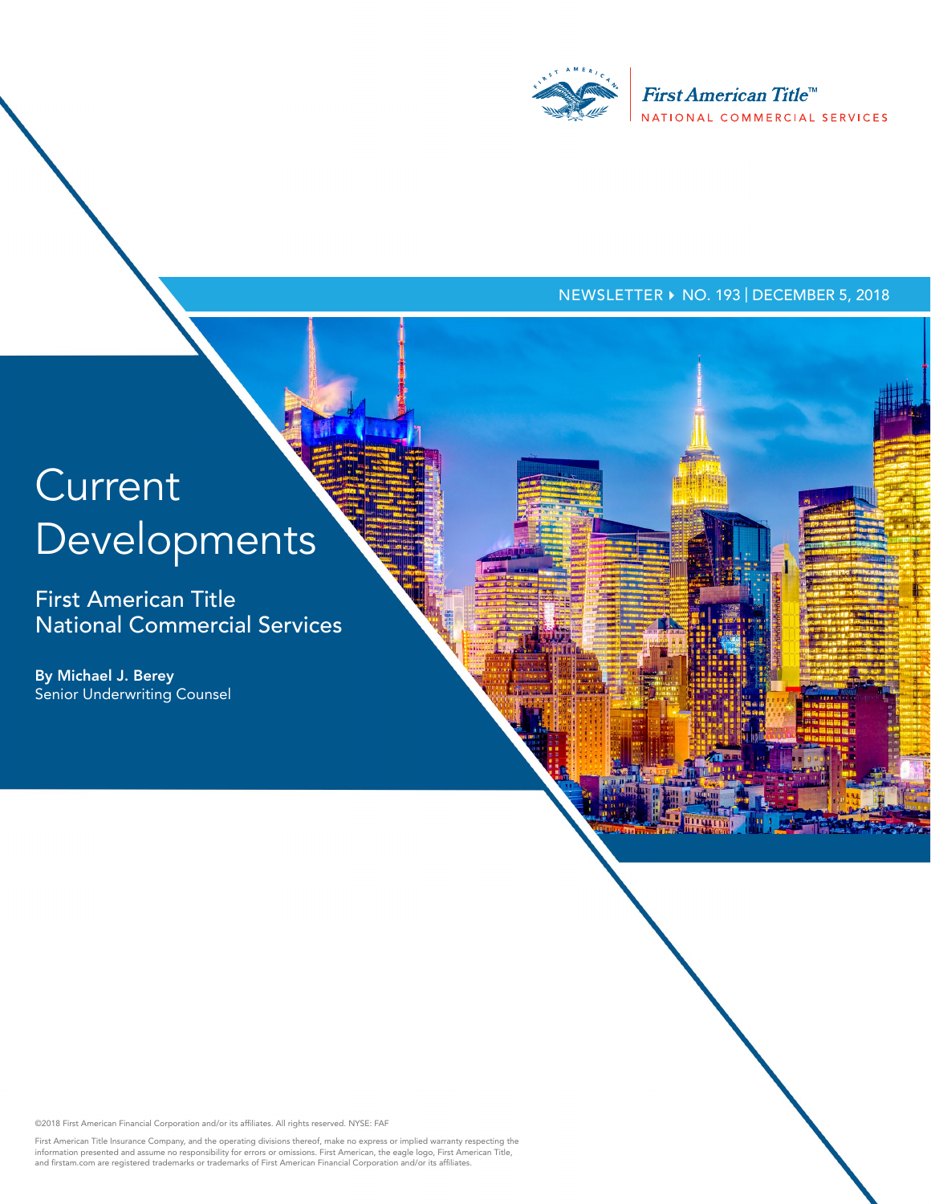

#### NEWSLETTER ▶ NO. 193 | DECEMBER 5, 2018

# **Current** Developments

First American Title National Commercial Services

By Michael J. Berey Senior Underwriting Counsel

©2018 First American Financial Corporation and/or its affiliates. All rights reserved. NYSE: FAF

First American Title Insurance Company, and the operating divisions thereof, make no express or implied warranty respecting the<br>information presented and assume no responsibility for errors or omissions. First American, th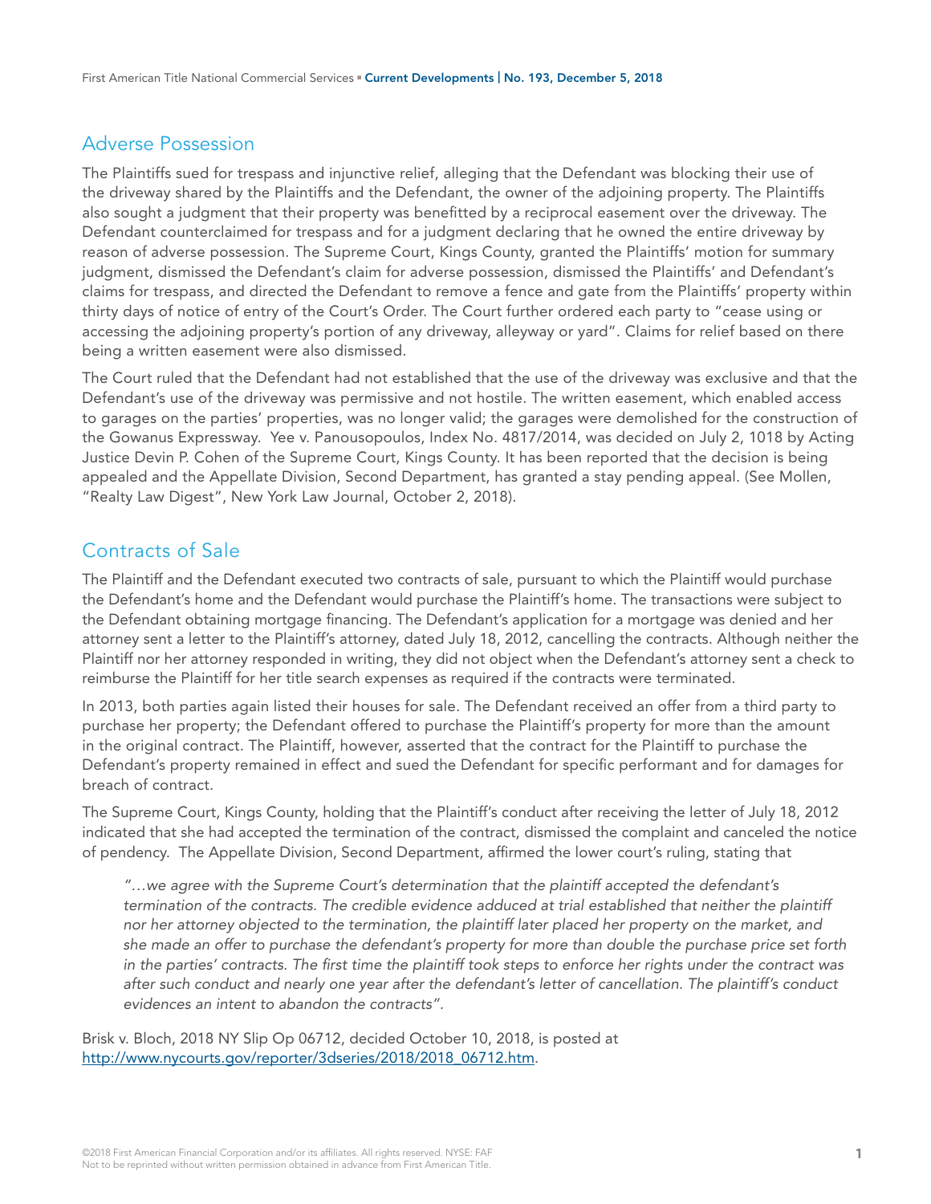## Adverse Possession

The Plaintiffs sued for trespass and injunctive relief, alleging that the Defendant was blocking their use of the driveway shared by the Plaintiffs and the Defendant, the owner of the adjoining property. The Plaintiffs also sought a judgment that their property was benefitted by a reciprocal easement over the driveway. The Defendant counterclaimed for trespass and for a judgment declaring that he owned the entire driveway by reason of adverse possession. The Supreme Court, Kings County, granted the Plaintiffs' motion for summary judgment, dismissed the Defendant's claim for adverse possession, dismissed the Plaintiffs' and Defendant's claims for trespass, and directed the Defendant to remove a fence and gate from the Plaintiffs' property within thirty days of notice of entry of the Court's Order. The Court further ordered each party to "cease using or accessing the adjoining property's portion of any driveway, alleyway or yard". Claims for relief based on there being a written easement were also dismissed.

The Court ruled that the Defendant had not established that the use of the driveway was exclusive and that the Defendant's use of the driveway was permissive and not hostile. The written easement, which enabled access to garages on the parties' properties, was no longer valid; the garages were demolished for the construction of the Gowanus Expressway. Yee v. Panousopoulos, Index No. 4817/2014, was decided on July 2, 1018 by Acting Justice Devin P. Cohen of the Supreme Court, Kings County. It has been reported that the decision is being appealed and the Appellate Division, Second Department, has granted a stay pending appeal. (See Mollen, "Realty Law Digest", New York Law Journal, October 2, 2018).

## Contracts of Sale

The Plaintiff and the Defendant executed two contracts of sale, pursuant to which the Plaintiff would purchase the Defendant's home and the Defendant would purchase the Plaintiff's home. The transactions were subject to the Defendant obtaining mortgage financing. The Defendant's application for a mortgage was denied and her attorney sent a letter to the Plaintiff's attorney, dated July 18, 2012, cancelling the contracts. Although neither the Plaintiff nor her attorney responded in writing, they did not object when the Defendant's attorney sent a check to reimburse the Plaintiff for her title search expenses as required if the contracts were terminated.

In 2013, both parties again listed their houses for sale. The Defendant received an offer from a third party to purchase her property; the Defendant offered to purchase the Plaintiff's property for more than the amount in the original contract. The Plaintiff, however, asserted that the contract for the Plaintiff to purchase the Defendant's property remained in effect and sued the Defendant for specific performant and for damages for breach of contract.

The Supreme Court, Kings County, holding that the Plaintiff's conduct after receiving the letter of July 18, 2012 indicated that she had accepted the termination of the contract, dismissed the complaint and canceled the notice of pendency. The Appellate Division, Second Department, affirmed the lower court's ruling, stating that

*"…we agree with the Supreme Court's determination that the plaintiff accepted the defendant's termination of the contracts. The credible evidence adduced at trial established that neither the plaintiff nor her attorney objected to the termination, the plaintiff later placed her property on the market, and she made an offer to purchase the defendant's property for more than double the purchase price set forth in the parties' contracts. The first time the plaintiff took steps to enforce her rights under the contract was after such conduct and nearly one year after the defendant's letter of cancellation. The plaintiff's conduct evidences an intent to abandon the contracts".*

Brisk v. Bloch, 2018 NY Slip Op 06712, decided October 10, 2018, is posted at [http://www.nycourts.gov/reporter/3dseries/2018/2018\\_06712.htm.](http://www.nycourts.gov/reporter/3dseries/2018/2018_06712.htm)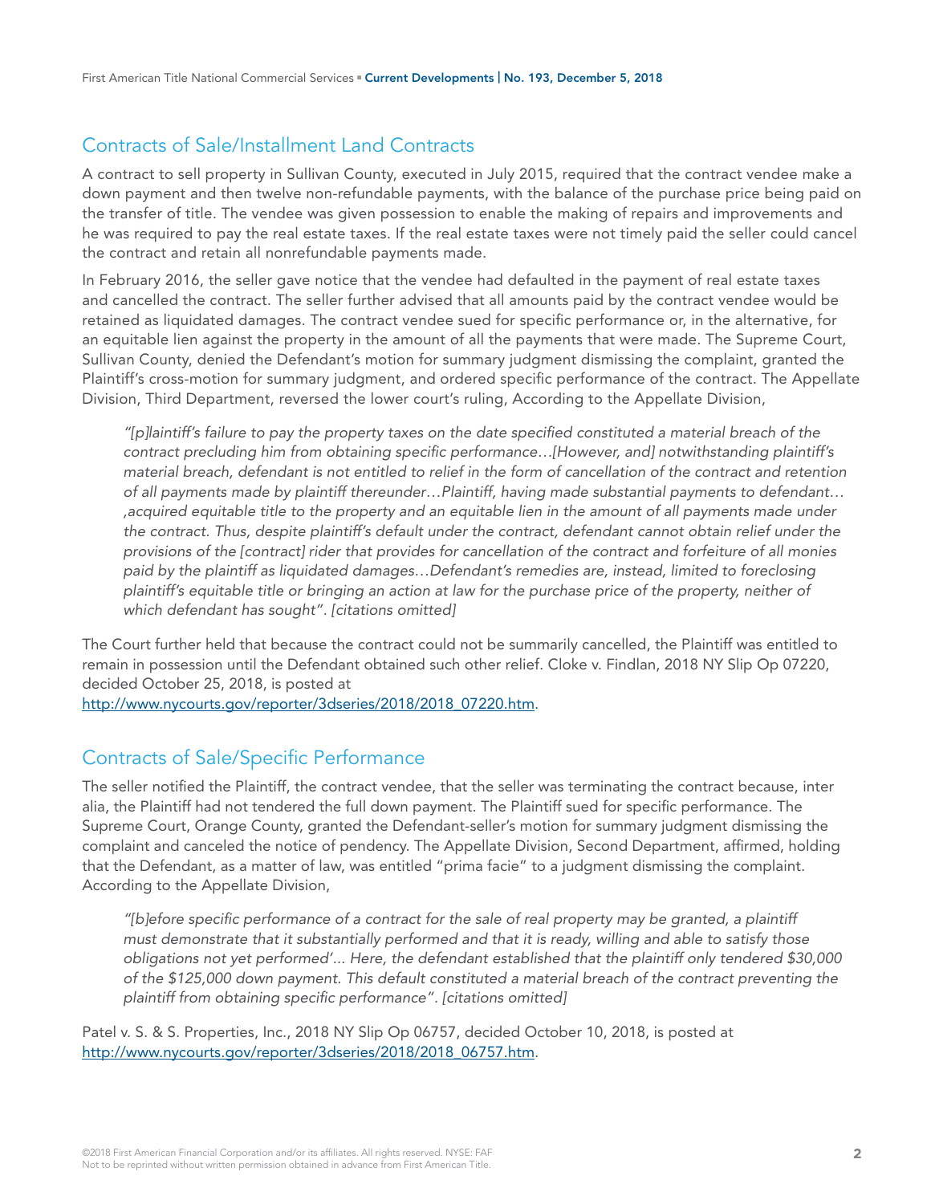# Contracts of Sale/Installment Land Contracts

A contract to sell property in Sullivan County, executed in July 2015, required that the contract vendee make a down payment and then twelve non-refundable payments, with the balance of the purchase price being paid on the transfer of title. The vendee was given possession to enable the making of repairs and improvements and he was required to pay the real estate taxes. If the real estate taxes were not timely paid the seller could cancel the contract and retain all nonrefundable payments made.

In February 2016, the seller gave notice that the vendee had defaulted in the payment of real estate taxes and cancelled the contract. The seller further advised that all amounts paid by the contract vendee would be retained as liquidated damages. The contract vendee sued for specific performance or, in the alternative, for an equitable lien against the property in the amount of all the payments that were made. The Supreme Court, Sullivan County, denied the Defendant's motion for summary judgment dismissing the complaint, granted the Plaintiff's cross-motion for summary judgment, and ordered specific performance of the contract. The Appellate Division, Third Department, reversed the lower court's ruling, According to the Appellate Division,

*"[p]laintiff's failure to pay the property taxes on the date specified constituted a material breach of the contract precluding him from obtaining specific performance…[However, and] notwithstanding plaintiff's material breach, defendant is not entitled to relief in the form of cancellation of the contract and retention of all payments made by plaintiff thereunder…Plaintiff, having made substantial payments to defendant… ,acquired equitable title to the property and an equitable lien in the amount of all payments made under the contract. Thus, despite plaintiff's default under the contract, defendant cannot obtain relief under the provisions of the [contract] rider that provides for cancellation of the contract and forfeiture of all monies paid by the plaintiff as liquidated damages…Defendant's remedies are, instead, limited to foreclosing plaintiff's equitable title or bringing an action at law for the purchase price of the property, neither of which defendant has sought". [citations omitted]*

The Court further held that because the contract could not be summarily cancelled, the Plaintiff was entitled to remain in possession until the Defendant obtained such other relief. Cloke v. Findlan, 2018 NY Slip Op 07220, decided October 25, 2018, is posted at

[http://www.nycourts.gov/reporter/3dseries/2018/2018\\_07220.htm.](http://www.nycourts.gov/reporter/3dseries/2018/2018_07220.htm)

## Contracts of Sale/Specific Performance

The seller notified the Plaintiff, the contract vendee, that the seller was terminating the contract because, inter alia, the Plaintiff had not tendered the full down payment. The Plaintiff sued for specific performance. The Supreme Court, Orange County, granted the Defendant-seller's motion for summary judgment dismissing the complaint and canceled the notice of pendency. The Appellate Division, Second Department, affirmed, holding that the Defendant, as a matter of law, was entitled "prima facie" to a judgment dismissing the complaint. According to the Appellate Division,

*"[b]efore specific performance of a contract for the sale of real property may be granted, a plaintiff must demonstrate that it substantially performed and that it is ready, willing and able to satisfy those obligations not yet performed'... Here, the defendant established that the plaintiff only tendered \$30,000 of the \$125,000 down payment. This default constituted a material breach of the contract preventing the plaintiff from obtaining specific performance". [citations omitted]*

Patel v. S. & S. Properties, Inc., 2018 NY Slip Op 06757, decided October 10, 2018, is posted at [http://www.nycourts.gov/reporter/3dseries/2018/2018\\_06757.htm.](http://www.nycourts.gov/reporter/3dseries/2018/2018_06757.htm)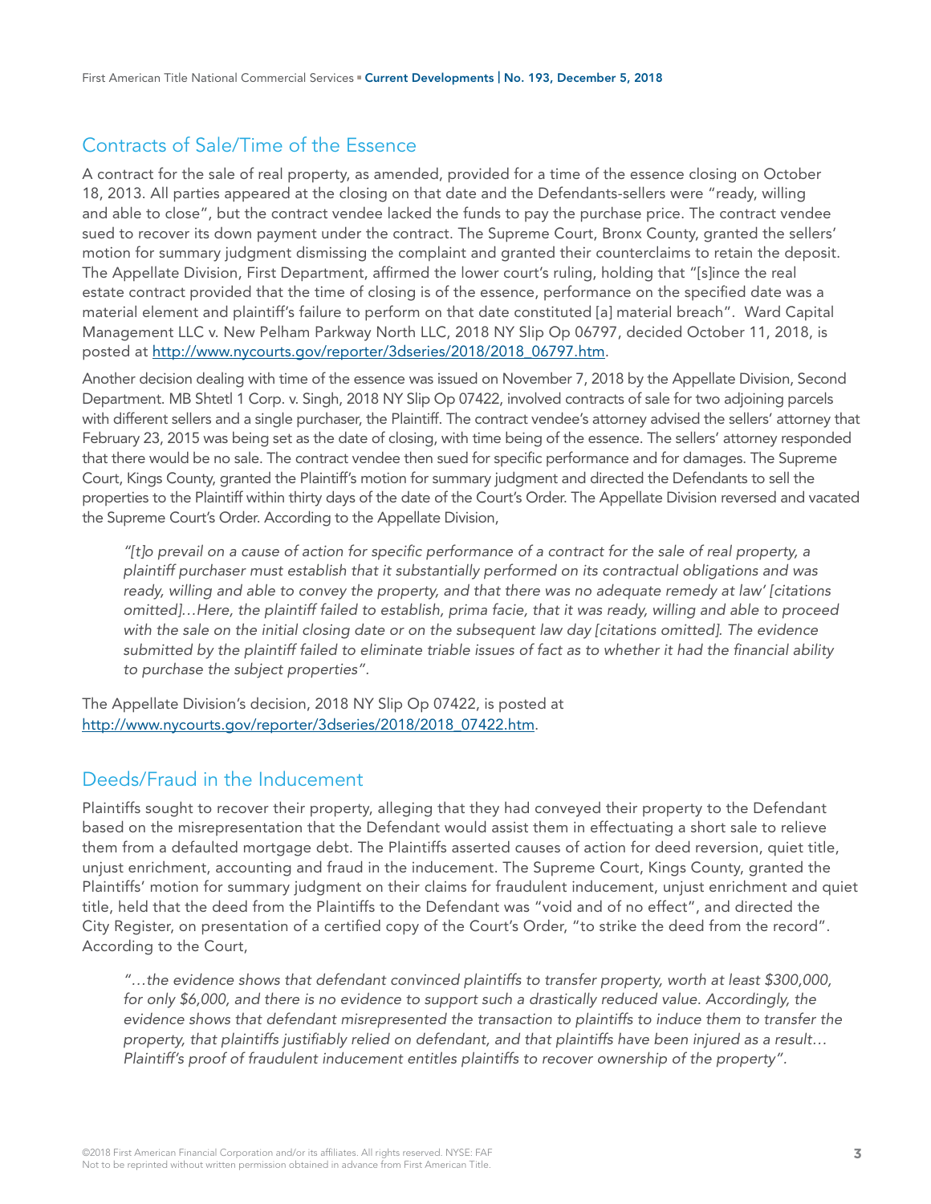# Contracts of Sale/Time of the Essence

A contract for the sale of real property, as amended, provided for a time of the essence closing on October 18, 2013. All parties appeared at the closing on that date and the Defendants-sellers were "ready, willing and able to close", but the contract vendee lacked the funds to pay the purchase price. The contract vendee sued to recover its down payment under the contract. The Supreme Court, Bronx County, granted the sellers' motion for summary judgment dismissing the complaint and granted their counterclaims to retain the deposit. The Appellate Division, First Department, affirmed the lower court's ruling, holding that "[s]ince the real estate contract provided that the time of closing is of the essence, performance on the specified date was a material element and plaintiff's failure to perform on that date constituted [a] material breach". Ward Capital Management LLC v. New Pelham Parkway North LLC, 2018 NY Slip Op 06797, decided October 11, 2018, is posted at [http://www.nycourts.gov/reporter/3dseries/2018/2018\\_06797.htm](http://www.nycourts.gov/reporter/3dseries/2018/2018_06797.htm).

Another decision dealing with time of the essence was issued on November 7, 2018 by the Appellate Division, Second Department. MB Shtetl 1 Corp. v. Singh, 2018 NY Slip Op 07422, involved contracts of sale for two adjoining parcels with different sellers and a single purchaser, the Plaintiff. The contract vendee's attorney advised the sellers' attorney that February 23, 2015 was being set as the date of closing, with time being of the essence. The sellers' attorney responded that there would be no sale. The contract vendee then sued for specific performance and for damages. The Supreme Court, Kings County, granted the Plaintiff's motion for summary judgment and directed the Defendants to sell the properties to the Plaintiff within thirty days of the date of the Court's Order. The Appellate Division reversed and vacated the Supreme Court's Order. According to the Appellate Division,

*"[t]o prevail on a cause of action for specific performance of a contract for the sale of real property, a plaintiff purchaser must establish that it substantially performed on its contractual obligations and was ready, willing and able to convey the property, and that there was no adequate remedy at law' [citations omitted]…Here, the plaintiff failed to establish, prima facie, that it was ready, willing and able to proceed with the sale on the initial closing date or on the subsequent law day [citations omitted]. The evidence submitted by the plaintiff failed to eliminate triable issues of fact as to whether it had the financial ability to purchase the subject properties".* 

The Appellate Division's decision, 2018 NY Slip Op 07422, is posted at [http://www.nycourts.gov/reporter/3dseries/2018/2018\\_07422.htm.](http://www.nycourts.gov/reporter/3dseries/2018/2018_07422.htm)

## Deeds/Fraud in the Inducement

Plaintiffs sought to recover their property, alleging that they had conveyed their property to the Defendant based on the misrepresentation that the Defendant would assist them in effectuating a short sale to relieve them from a defaulted mortgage debt. The Plaintiffs asserted causes of action for deed reversion, quiet title, unjust enrichment, accounting and fraud in the inducement. The Supreme Court, Kings County, granted the Plaintiffs' motion for summary judgment on their claims for fraudulent inducement, unjust enrichment and quiet title, held that the deed from the Plaintiffs to the Defendant was "void and of no effect", and directed the City Register, on presentation of a certified copy of the Court's Order, "to strike the deed from the record". According to the Court,

*"…the evidence shows that defendant convinced plaintiffs to transfer property, worth at least \$300,000, for only \$6,000, and there is no evidence to support such a drastically reduced value. Accordingly, the evidence shows that defendant misrepresented the transaction to plaintiffs to induce them to transfer the property, that plaintiffs justifiably relied on defendant, and that plaintiffs have been injured as a result… Plaintiff's proof of fraudulent inducement entitles plaintiffs to recover ownership of the property".*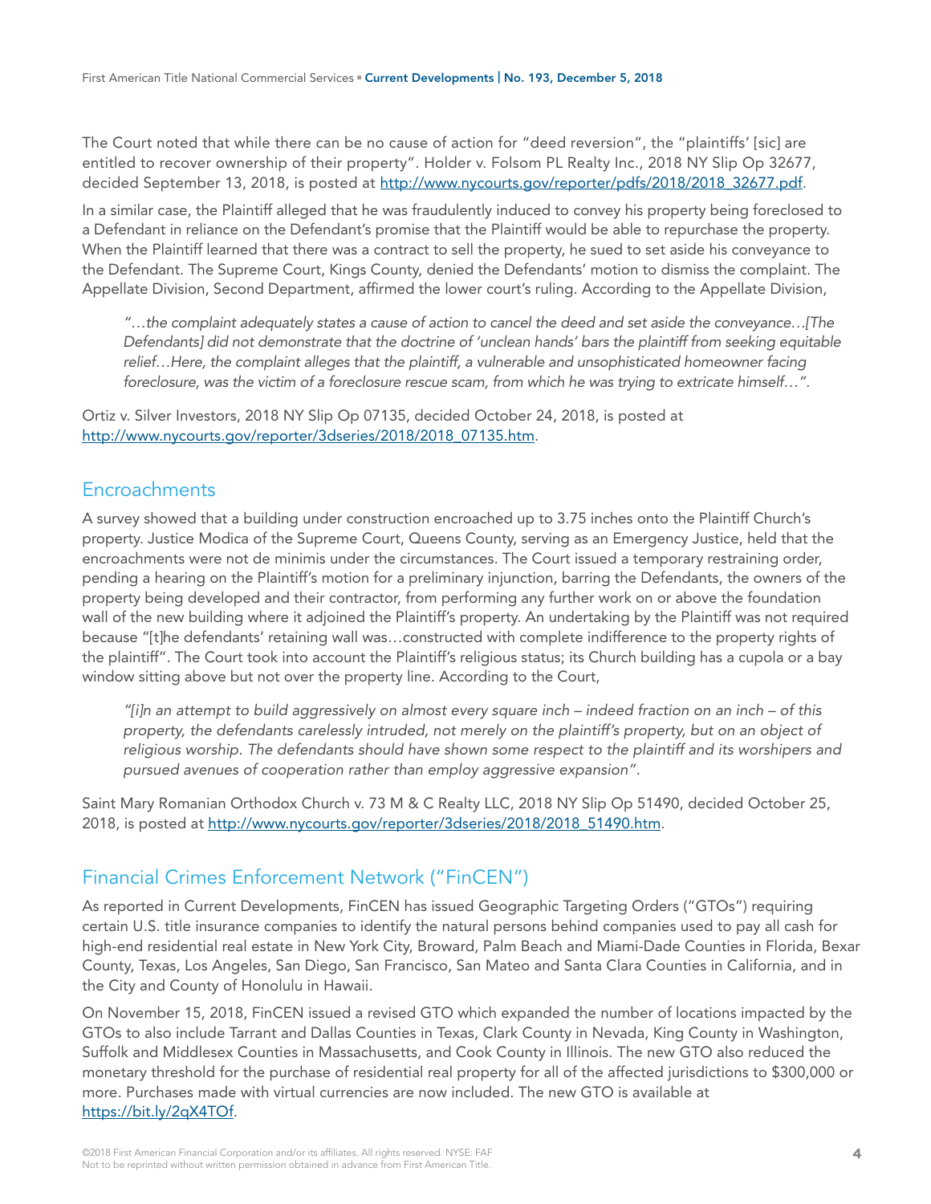The Court noted that while there can be no cause of action for "deed reversion", the "plaintiffs' [sic] are entitled to recover ownership of their property". Holder v. Folsom PL Realty Inc., 2018 NY Slip Op 32677, decided September 13, 2018, is posted at http://www.nycourts.gov/reporter/pdfs/2018/2018 32677.pdf.

In a similar case, the Plaintiff alleged that he was fraudulently induced to convey his property being foreclosed to a Defendant in reliance on the Defendant's promise that the Plaintiff would be able to repurchase the property. When the Plaintiff learned that there was a contract to sell the property, he sued to set aside his conveyance to the Defendant. The Supreme Court, Kings County, denied the Defendants' motion to dismiss the complaint. The Appellate Division, Second Department, affirmed the lower court's ruling. According to the Appellate Division,

*"…the complaint adequately states a cause of action to cancel the deed and set aside the conveyance…[The Defendants] did not demonstrate that the doctrine of 'unclean hands' bars the plaintiff from seeking equitable relief…Here, the complaint alleges that the plaintiff, a vulnerable and unsophisticated homeowner facing foreclosure, was the victim of a foreclosure rescue scam, from which he was trying to extricate himself…".* 

Ortiz v. Silver Investors, 2018 NY Slip Op 07135, decided October 24, 2018, is posted at [http://www.nycourts.gov/reporter/3dseries/2018/2018\\_07135.htm.](http://www.nycourts.gov/reporter/3dseries/2018/2018_07135.htm)

#### **Encroachments**

A survey showed that a building under construction encroached up to 3.75 inches onto the Plaintiff Church's property. Justice Modica of the Supreme Court, Queens County, serving as an Emergency Justice, held that the encroachments were not de minimis under the circumstances. The Court issued a temporary restraining order, pending a hearing on the Plaintiff's motion for a preliminary injunction, barring the Defendants, the owners of the property being developed and their contractor, from performing any further work on or above the foundation wall of the new building where it adjoined the Plaintiff's property. An undertaking by the Plaintiff was not required because "[t]he defendants' retaining wall was…constructed with complete indifference to the property rights of the plaintiff". The Court took into account the Plaintiff's religious status; its Church building has a cupola or a bay window sitting above but not over the property line. According to the Court,

*"[i]n an attempt to build aggressively on almost every square inch – indeed fraction on an inch – of this property, the defendants carelessly intruded, not merely on the plaintiff's property, but on an object of religious worship. The defendants should have shown some respect to the plaintiff and its worshipers and pursued avenues of cooperation rather than employ aggressive expansion".* 

Saint Mary Romanian Orthodox Church v. 73 M & C Realty LLC, 2018 NY Slip Op 51490, decided October 25, 2018, is posted at http://www.nycourts.gov/reporter/3dseries/2018/2018 51490.htm.

## Financial Crimes Enforcement Network ("FinCEN")

As reported in Current Developments, FinCEN has issued Geographic Targeting Orders ("GTOs") requiring certain U.S. title insurance companies to identify the natural persons behind companies used to pay all cash for high-end residential real estate in New York City, Broward, Palm Beach and Miami-Dade Counties in Florida, Bexar County, Texas, Los Angeles, San Diego, San Francisco, San Mateo and Santa Clara Counties in California, and in the City and County of Honolulu in Hawaii.

On November 15, 2018, FinCEN issued a revised GTO which expanded the number of locations impacted by the GTOs to also include Tarrant and Dallas Counties in Texas, Clark County in Nevada, King County in Washington, Suffolk and Middlesex Counties in Massachusetts, and Cook County in Illinois. The new GTO also reduced the monetary threshold for the purchase of residential real property for all of the affected jurisdictions to \$300,000 or more. Purchases made with virtual currencies are now included. The new GTO is available at [https://bit.ly/2qX4TOf.](https://bit.ly/2qX4TOf)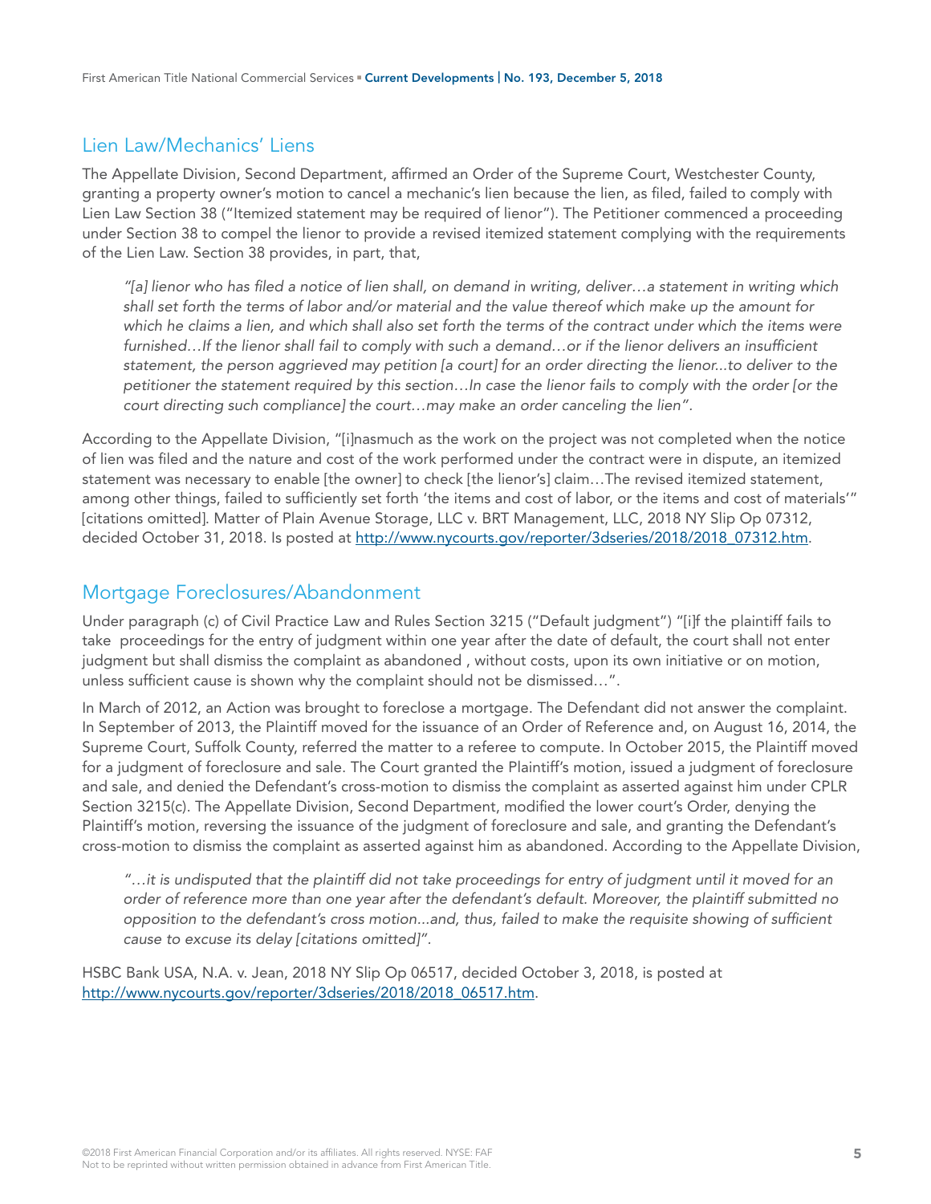## Lien Law/Mechanics' Liens

The Appellate Division, Second Department, affirmed an Order of the Supreme Court, Westchester County, granting a property owner's motion to cancel a mechanic's lien because the lien, as filed, failed to comply with Lien Law Section 38 ("Itemized statement may be required of lienor"). The Petitioner commenced a proceeding under Section 38 to compel the lienor to provide a revised itemized statement complying with the requirements of the Lien Law. Section 38 provides, in part, that,

*"[a] lienor who has filed a notice of lien shall, on demand in writing, deliver…a statement in writing which shall set forth the terms of labor and/or material and the value thereof which make up the amount for which he claims a lien, and which shall also set forth the terms of the contract under which the items were furnished…If the lienor shall fail to comply with such a demand…or if the lienor delivers an insufficient statement, the person aggrieved may petition [a court] for an order directing the lienor...to deliver to the petitioner the statement required by this section…In case the lienor fails to comply with the order [or the court directing such compliance] the court…may make an order canceling the lien".*

According to the Appellate Division, "[i]nasmuch as the work on the project was not completed when the notice of lien was filed and the nature and cost of the work performed under the contract were in dispute, an itemized statement was necessary to enable [the owner] to check [the lienor's] claim…The revised itemized statement, among other things, failed to sufficiently set forth 'the items and cost of labor, or the items and cost of materials'" [citations omitted]. Matter of Plain Avenue Storage, LLC v. BRT Management, LLC, 2018 NY Slip Op 07312, decided October 31, 2018. Is posted at http://www.nycourts.gov/reporter/3dseries/2018/2018 07312.htm.

#### Mortgage Foreclosures/Abandonment

Under paragraph (c) of Civil Practice Law and Rules Section 3215 ("Default judgment") "[i]f the plaintiff fails to take proceedings for the entry of judgment within one year after the date of default, the court shall not enter judgment but shall dismiss the complaint as abandoned , without costs, upon its own initiative or on motion, unless sufficient cause is shown why the complaint should not be dismissed…".

In March of 2012, an Action was brought to foreclose a mortgage. The Defendant did not answer the complaint. In September of 2013, the Plaintiff moved for the issuance of an Order of Reference and, on August 16, 2014, the Supreme Court, Suffolk County, referred the matter to a referee to compute. In October 2015, the Plaintiff moved for a judgment of foreclosure and sale. The Court granted the Plaintiff's motion, issued a judgment of foreclosure and sale, and denied the Defendant's cross-motion to dismiss the complaint as asserted against him under CPLR Section 3215(c). The Appellate Division, Second Department, modified the lower court's Order, denying the Plaintiff's motion, reversing the issuance of the judgment of foreclosure and sale, and granting the Defendant's cross-motion to dismiss the complaint as asserted against him as abandoned. According to the Appellate Division,

*"…it is undisputed that the plaintiff did not take proceedings for entry of judgment until it moved for an order of reference more than one year after the defendant's default. Moreover, the plaintiff submitted no opposition to the defendant's cross motion...and, thus, failed to make the requisite showing of sufficient cause to excuse its delay [citations omitted]".* 

HSBC Bank USA, N.A. v. Jean, 2018 NY Slip Op 06517, decided October 3, 2018, is posted at [http://www.nycourts.gov/reporter/3dseries/2018/2018\\_06517.htm.](http://www.nycourts.gov/reporter/3dseries/2018/2018_06517.htm)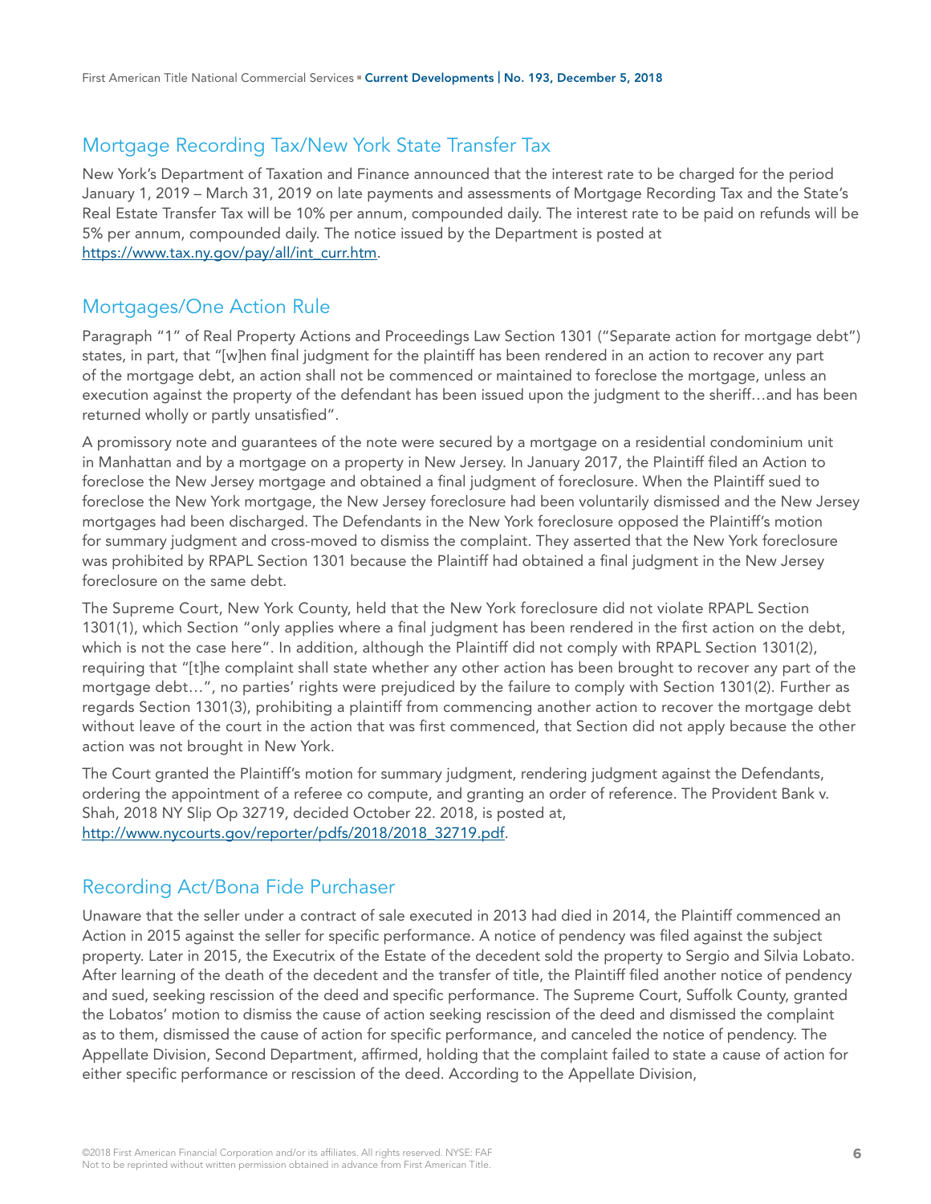## Mortgage Recording Tax/New York State Transfer Tax

New York's Department of Taxation and Finance announced that the interest rate to be charged for the period January 1, 2019 – March 31, 2019 on late payments and assessments of Mortgage Recording Tax and the State's Real Estate Transfer Tax will be 10% per annum, compounded daily. The interest rate to be paid on refunds will be 5% per annum, compounded daily. The notice issued by the Department is posted at [https://www.tax.ny.gov/pay/all/int\\_curr.htm.](https://www.tax.ny.gov/pay/all/int_curr.htm)

## Mortgages/One Action Rule

Paragraph "1" of Real Property Actions and Proceedings Law Section 1301 ("Separate action for mortgage debt") states, in part, that "[w]hen final judgment for the plaintiff has been rendered in an action to recover any part of the mortgage debt, an action shall not be commenced or maintained to foreclose the mortgage, unless an execution against the property of the defendant has been issued upon the judgment to the sheriff…and has been returned wholly or partly unsatisfied".

A promissory note and guarantees of the note were secured by a mortgage on a residential condominium unit in Manhattan and by a mortgage on a property in New Jersey. In January 2017, the Plaintiff filed an Action to foreclose the New Jersey mortgage and obtained a final judgment of foreclosure. When the Plaintiff sued to foreclose the New York mortgage, the New Jersey foreclosure had been voluntarily dismissed and the New Jersey mortgages had been discharged. The Defendants in the New York foreclosure opposed the Plaintiff's motion for summary judgment and cross-moved to dismiss the complaint. They asserted that the New York foreclosure was prohibited by RPAPL Section 1301 because the Plaintiff had obtained a final judgment in the New Jersey foreclosure on the same debt.

The Supreme Court, New York County, held that the New York foreclosure did not violate RPAPL Section 1301(1), which Section "only applies where a final judgment has been rendered in the first action on the debt, which is not the case here". In addition, although the Plaintiff did not comply with RPAPL Section 1301(2), requiring that "[t]he complaint shall state whether any other action has been brought to recover any part of the mortgage debt…", no parties' rights were prejudiced by the failure to comply with Section 1301(2). Further as regards Section 1301(3), prohibiting a plaintiff from commencing another action to recover the mortgage debt without leave of the court in the action that was first commenced, that Section did not apply because the other action was not brought in New York.

The Court granted the Plaintiff's motion for summary judgment, rendering judgment against the Defendants, ordering the appointment of a referee co compute, and granting an order of reference. The Provident Bank v. Shah, 2018 NY Slip Op 32719, decided October 22. 2018, is posted at, [http://www.nycourts.gov/reporter/pdfs/2018/2018\\_32719.pdf.](http://www.nycourts.gov/reporter/pdfs/2018/2018_32719.pdf)

## Recording Act/Bona Fide Purchaser

Unaware that the seller under a contract of sale executed in 2013 had died in 2014, the Plaintiff commenced an Action in 2015 against the seller for specific performance. A notice of pendency was filed against the subject property. Later in 2015, the Executrix of the Estate of the decedent sold the property to Sergio and Silvia Lobato. After learning of the death of the decedent and the transfer of title, the Plaintiff filed another notice of pendency and sued, seeking rescission of the deed and specific performance. The Supreme Court, Suffolk County, granted the Lobatos' motion to dismiss the cause of action seeking rescission of the deed and dismissed the complaint as to them, dismissed the cause of action for specific performance, and canceled the notice of pendency. The Appellate Division, Second Department, affirmed, holding that the complaint failed to state a cause of action for either specific performance or rescission of the deed. According to the Appellate Division,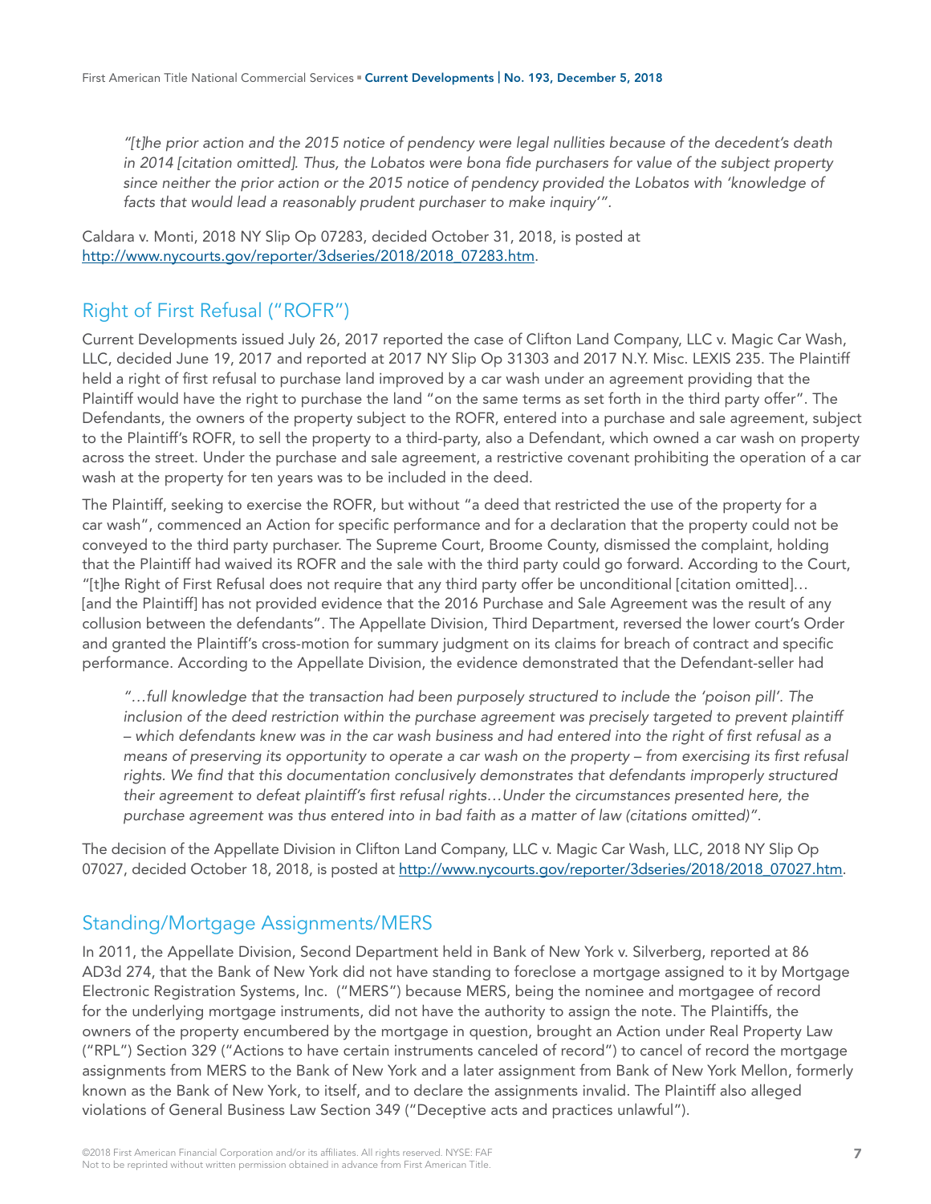*"[t]he prior action and the 2015 notice of pendency were legal nullities because of the decedent's death in 2014 [citation omitted]. Thus, the Lobatos were bona fide purchasers for value of the subject property since neither the prior action or the 2015 notice of pendency provided the Lobatos with 'knowledge of facts that would lead a reasonably prudent purchaser to make inquiry'".*

Caldara v. Monti, 2018 NY Slip Op 07283, decided October 31, 2018, is posted at [http://www.nycourts.gov/reporter/3dseries/2018/2018\\_07283.htm.](http://www.nycourts.gov/reporter/3dseries/2018/2018_07283.htm)

# Right of First Refusal ("ROFR")

Current Developments issued July 26, 2017 reported the case of Clifton Land Company, LLC v. Magic Car Wash, LLC, decided June 19, 2017 and reported at 2017 NY Slip Op 31303 and 2017 N.Y. Misc. LEXIS 235. The Plaintiff held a right of first refusal to purchase land improved by a car wash under an agreement providing that the Plaintiff would have the right to purchase the land "on the same terms as set forth in the third party offer". The Defendants, the owners of the property subject to the ROFR, entered into a purchase and sale agreement, subject to the Plaintiff's ROFR, to sell the property to a third-party, also a Defendant, which owned a car wash on property across the street. Under the purchase and sale agreement, a restrictive covenant prohibiting the operation of a car wash at the property for ten years was to be included in the deed.

The Plaintiff, seeking to exercise the ROFR, but without "a deed that restricted the use of the property for a car wash", commenced an Action for specific performance and for a declaration that the property could not be conveyed to the third party purchaser. The Supreme Court, Broome County, dismissed the complaint, holding that the Plaintiff had waived its ROFR and the sale with the third party could go forward. According to the Court, "[t]he Right of First Refusal does not require that any third party offer be unconditional [citation omitted]… [and the Plaintiff] has not provided evidence that the 2016 Purchase and Sale Agreement was the result of any collusion between the defendants". The Appellate Division, Third Department, reversed the lower court's Order and granted the Plaintiff's cross-motion for summary judgment on its claims for breach of contract and specific performance. According to the Appellate Division, the evidence demonstrated that the Defendant-seller had

*"…full knowledge that the transaction had been purposely structured to include the 'poison pill'. The*  inclusion of the deed restriction within the purchase agreement was precisely targeted to prevent plaintiff *– which defendants knew was in the car wash business and had entered into the right of first refusal as a*  means of preserving its opportunity to operate a car wash on the property – from exercising its first refusal rights. We find that this documentation conclusively demonstrates that defendants improperly structured *their agreement to defeat plaintiff's first refusal rights…Under the circumstances presented here, the purchase agreement was thus entered into in bad faith as a matter of law (citations omitted)".* 

The decision of the Appellate Division in Clifton Land Company, LLC v. Magic Car Wash, LLC, 2018 NY Slip Op 07027, decided October 18, 2018, is posted at [http://www.nycourts.gov/reporter/3dseries/2018/2018\\_07027.htm](http://www.nycourts.gov/reporter/3dseries/2018/2018_07027.htm).

## Standing/Mortgage Assignments/MERS

In 2011, the Appellate Division, Second Department held in Bank of New York v. Silverberg, reported at 86 AD3d 274, that the Bank of New York did not have standing to foreclose a mortgage assigned to it by Mortgage Electronic Registration Systems, Inc. ("MERS") because MERS, being the nominee and mortgagee of record for the underlying mortgage instruments, did not have the authority to assign the note. The Plaintiffs, the owners of the property encumbered by the mortgage in question, brought an Action under Real Property Law ("RPL") Section 329 ("Actions to have certain instruments canceled of record") to cancel of record the mortgage assignments from MERS to the Bank of New York and a later assignment from Bank of New York Mellon, formerly known as the Bank of New York, to itself, and to declare the assignments invalid. The Plaintiff also alleged violations of General Business Law Section 349 ("Deceptive acts and practices unlawful").